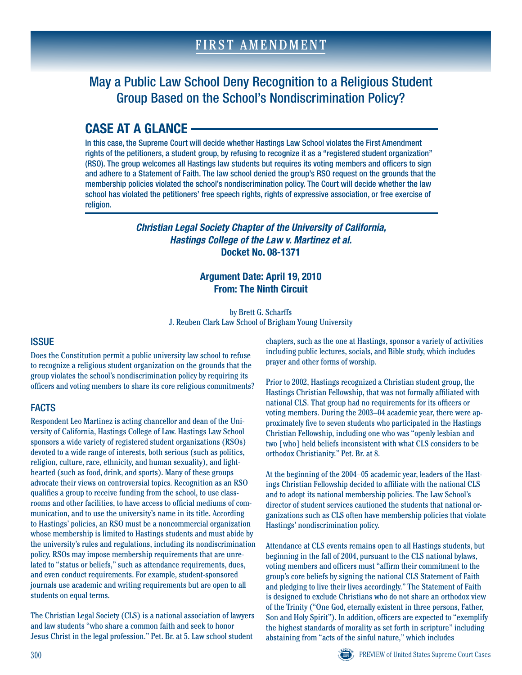# May a Public Law School Deny Recognition to a Religious Student Group Based on the School's Nondiscrimination Policy?

# **CASE AT A GLANCE**

In this case, the Supreme Court will decide whether Hastings Law School violates the First Amendment rights of the petitioners, a student group, by refusing to recognize it as a "registered student organization" (RSO). The group welcomes all Hastings law students but requires its voting members and officers to sign and adhere to a Statement of Faith. The law school denied the group's RSO request on the grounds that the membership policies violated the school's nondiscrimination policy. The Court will decide whether the law school has violated the petitioners' free speech rights, rights of expressive association, or free exercise of religion.

> *Christian Legal Society Chapter of the University of California, Hastings College of the Law v. Martinez et al.* **Docket No. 08-1371**

## **Argument Date: April 19, 2010 From: The Ninth Circuit**

by Brett G. Scharffs J. Reuben Clark Law School of Brigham Young University

## **ISSUE**

Does the Constitution permit a public university law school to refuse to recognize a religious student organization on the grounds that the group violates the school's nondiscrimination policy by requiring its officers and voting members to share its core religious commitments?

## **FACTS**

Respondent Leo Martinez is acting chancellor and dean of the University of California, Hastings College of Law. Hastings Law School sponsors a wide variety of registered student organizations (RSOs) devoted to a wide range of interests, both serious (such as politics, religion, culture, race, ethnicity, and human sexuality), and lighthearted (such as food, drink, and sports). Many of these groups advocate their views on controversial topics. Recognition as an RSO qualifies a group to receive funding from the school, to use classrooms and other facilities, to have access to official mediums of communication, and to use the university's name in its title. According to Hastings' policies, an RSO must be a noncommercial organization whose membership is limited to Hastings students and must abide by the university's rules and regulations, including its nondiscrimination policy. RSOs may impose membership requirements that are unrelated to "status or beliefs," such as attendance requirements, dues, and even conduct requirements. For example, student-sponsored journals use academic and writing requirements but are open to all students on equal terms.

The Christian Legal Society (CLS) is a national association of lawyers and law students "who share a common faith and seek to honor Jesus Christ in the legal profession." Pet. Br. at 5. Law school student

chapters, such as the one at Hastings, sponsor a variety of activities including public lectures, socials, and Bible study, which includes prayer and other forms of worship.

Prior to 2002, Hastings recognized a Christian student group, the Hastings Christian Fellowship, that was not formally affiliated with national CLS. That group had no requirements for its officers or voting members. During the 2003–04 academic year, there were approximately five to seven students who participated in the Hastings Christian Fellowship, including one who was "openly lesbian and two [who] held beliefs inconsistent with what CLS considers to be orthodox Christianity." Pet. Br. at 8.

At the beginning of the 2004–05 academic year, leaders of the Hastings Christian Fellowship decided to affiliate with the national CLS and to adopt its national membership policies. The Law School's director of student services cautioned the students that national organizations such as CLS often have membership policies that violate Hastings' nondiscrimination policy.

Attendance at CLS events remains open to all Hastings students, but beginning in the fall of 2004, pursuant to the CLS national bylaws, voting members and officers must "affirm their commitment to the group's core beliefs by signing the national CLS Statement of Faith and pledging to live their lives accordingly." The Statement of Faith is designed to exclude Christians who do not share an orthodox view of the Trinity ("One God, eternally existent in three persons, Father, Son and Holy Spirit"). In addition, officers are expected to "exemplify the highest standards of morality as set forth in scripture" including abstaining from "acts of the sinful nature," which includes

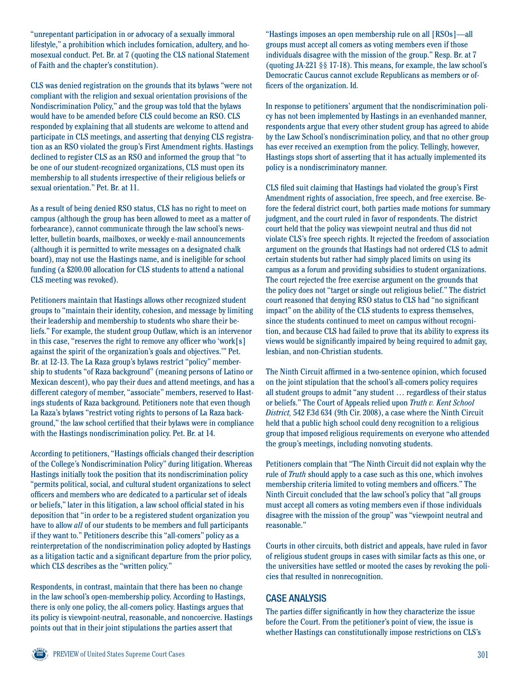"unrepentant participation in or advocacy of a sexually immoral lifestyle," a prohibition which includes fornication, adultery, and homosexual conduct. Pet. Br. at 7 (quoting the CLS national Statement of Faith and the chapter's constitution).

CLS was denied registration on the grounds that its bylaws "were not compliant with the religion and sexual orientation provisions of the Nondiscrimination Policy," and the group was told that the bylaws would have to be amended before CLS could become an RSO. CLS responded by explaining that all students are welcome to attend and participate in CLS meetings, and asserting that denying CLS registration as an RSO violated the group's First Amendment rights. Hastings declined to register CLS as an RSO and informed the group that "to be one of our student-recognized organizations, CLS must open its membership to all students irrespective of their religious beliefs or sexual orientation." Pet. Br. at 11.

As a result of being denied RSO status, CLS has no right to meet on campus (although the group has been allowed to meet as a matter of forbearance), cannot communicate through the law school's newsletter, bulletin boards, mailboxes, or weekly e-mail announcements (although it is permitted to write messages on a designated chalk board), may not use the Hastings name, and is ineligible for school funding (a \$200.00 allocation for CLS students to attend a national CLS meeting was revoked).

Petitioners maintain that Hastings allows other recognized student groups to "maintain their identity, cohesion, and message by limiting their leadership and membership to students who share their beliefs." For example, the student group Outlaw, which is an intervenor in this case, "reserves the right to remove any officer who 'work[s] against the spirit of the organization's goals and objectives.'" Pet. Br. at 12-13. The La Raza group's bylaws restrict "policy" membership to students "of Raza background" (meaning persons of Latino or Mexican descent), who pay their dues and attend meetings, and has a different category of member, "associate" members, reserved to Hastings students of Raza background. Petitioners note that even though La Raza's bylaws "restrict voting rights to persons of La Raza background," the law school certified that their bylaws were in compliance with the Hastings nondiscrimination policy. Pet. Br. at 14.

According to petitioners, "Hastings officials changed their description of the College's Nondiscrimination Policy" during litigation. Whereas Hastings initially took the position that its nondiscrimination policy "permits political, social, and cultural student organizations to select officers and members who are dedicated to a particular set of ideals or beliefs," later in this litigation, a law school official stated in his deposition that "in order to be a registered student organization you have to allow *all* of our students to be members and full participants if they want to." Petitioners describe this "all-comers" policy as a reinterpretation of the nondiscrimination policy adopted by Hastings as a litigation tactic and a significant departure from the prior policy, which CLS describes as the "written policy."

Respondents, in contrast, maintain that there has been no change in the law school's open-membership policy. According to Hastings, there is only one policy, the all-comers policy. Hastings argues that its policy is viewpoint-neutral, reasonable, and noncoercive. Hastings points out that in their joint stipulations the parties assert that

"Hastings imposes an open membership rule on all [RSOs]—all groups must accept all comers as voting members even if those individuals disagree with the mission of the group." Resp. Br. at 7 (quoting JA-221 §§ 17-18). This means, for example, the law school's Democratic Caucus cannot exclude Republicans as members or officers of the organization. Id.

In response to petitioners' argument that the nondiscrimination policy has not been implemented by Hastings in an evenhanded manner, respondents argue that every other student group has agreed to abide by the Law School's nondiscrimination policy, and that no other group has ever received an exemption from the policy. Tellingly, however, Hastings stops short of asserting that it has actually implemented its policy is a nondiscriminatory manner.

CLS filed suit claiming that Hastings had violated the group's First Amendment rights of association, free speech, and free exercise. Before the federal district court, both parties made motions for summary judgment, and the court ruled in favor of respondents. The district court held that the policy was viewpoint neutral and thus did not violate CLS's free speech rights. It rejected the freedom of association argument on the grounds that Hastings had not ordered CLS to admit certain students but rather had simply placed limits on using its campus as a forum and providing subsidies to student organizations. The court rejected the free exercise argument on the grounds that the policy does not "target or single out religious belief." The district court reasoned that denying RSO status to CLS had "no significant impact" on the ability of the CLS students to express themselves, since the students continued to meet on campus without recognition, and because CLS had failed to prove that its ability to express its views would be significantly impaired by being required to admit gay, lesbian, and non-Christian students.

The Ninth Circuit affirmed in a two-sentence opinion, which focused on the joint stipulation that the school's all-comers policy requires all student groups to admit "any student … regardless of their status or beliefs." The Court of Appeals relied upon *Truth v. Kent School District,* 542 F.3d 634 (9th Cir. 2008), a case where the Ninth Circuit held that a public high school could deny recognition to a religious group that imposed religious requirements on everyone who attended the group's meetings, including nonvoting students.

Petitioners complain that "The Ninth Circuit did not explain why the rule of *Truth* should apply to a case such as this one, which involves membership criteria limited to voting members and officers." The Ninth Circuit concluded that the law school's policy that "all groups must accept all comers as voting members even if those individuals disagree with the mission of the group" was "viewpoint neutral and reasonable."

Courts in other circuits, both district and appeals, have ruled in favor of religious student groups in cases with similar facts as this one, or the universities have settled or mooted the cases by revoking the policies that resulted in nonrecognition.

### Case Analysis

The parties differ significantly in how they characterize the issue before the Court. From the petitioner's point of view, the issue is whether Hastings can constitutionally impose restrictions on CLS's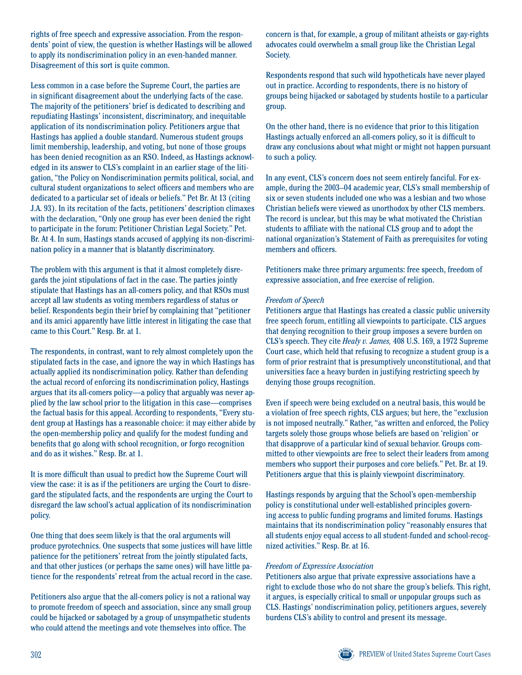rights of free speech and expressive association. From the respondents' point of view, the question is whether Hastings will be allowed to apply its nondiscrimination policy in an even-handed manner. Disagreement of this sort is quite common.

Less common in a case before the Supreme Court, the parties are in significant disagreement about the underlying facts of the case. The majority of the petitioners' brief is dedicated to describing and repudiating Hastings' inconsistent, discriminatory, and inequitable application of its nondiscrimination policy. Petitioners argue that Hastings has applied a double standard. Numerous student groups limit membership, leadership, and voting, but none of those groups has been denied recognition as an RSO. Indeed, as Hastings acknowledged in its answer to CLS's complaint in an earlier stage of the litigation, "the Policy on Nondiscrimination permits political, social, and cultural student organizations to select officers and members who are dedicated to a particular set of ideals or beliefs." Pet Br. At 13 (citing J.A. 93). In its recitation of the facts, petitioners' description climaxes with the declaration, "Only one group has ever been denied the right to participate in the forum: Petitioner Christian Legal Society." Pet. Br. At 4. In sum, Hastings stands accused of applying its non-discrimination policy in a manner that is blatantly discriminatory.

The problem with this argument is that it almost completely disregards the joint stipulations of fact in the case. The parties jointly stipulate that Hastings has an all-comers policy, and that RSOs must accept all law students as voting members regardless of status or belief. Respondents begin their brief by complaining that "petitioner and its amici apparently have little interest in litigating the case that came to this Court." Resp. Br. at 1.

The respondents, in contrast, want to rely almost completely upon the stipulated facts in the case, and ignore the way in which Hastings has actually applied its nondiscrimination policy. Rather than defending the actual record of enforcing its nondiscrimination policy, Hastings argues that its all-comers policy—a policy that arguably was never applied by the law school prior to the litigation in this case—comprises the factual basis for this appeal. According to respondents, "Every student group at Hastings has a reasonable choice: it may either abide by the open-membership policy and qualify for the modest funding and benefits that go along with school recognition, or forgo recognition and do as it wishes." Resp. Br. at 1.

It is more difficult than usual to predict how the Supreme Court will view the case: it is as if the petitioners are urging the Court to disregard the stipulated facts, and the respondents are urging the Court to disregard the law school's actual application of its nondiscrimination policy.

One thing that does seem likely is that the oral arguments will produce pyrotechnics. One suspects that some justices will have little patience for the petitioners' retreat from the jointly stipulated facts, and that other justices (or perhaps the same ones) will have little patience for the respondents' retreat from the actual record in the case.

Petitioners also argue that the all-comers policy is not a rational way to promote freedom of speech and association, since any small group could be hijacked or sabotaged by a group of unsympathetic students who could attend the meetings and vote themselves into office. The

concern is that, for example, a group of militant atheists or gay-rights advocates could overwhelm a small group like the Christian Legal Society.

Respondents respond that such wild hypotheticals have never played out in practice. According to respondents, there is no history of groups being hijacked or sabotaged by students hostile to a particular group.

On the other hand, there is no evidence that prior to this litigation Hastings actually enforced an all-comers policy, so it is difficult to draw any conclusions about what might or might not happen pursuant to such a policy.

In any event, CLS's concern does not seem entirely fanciful. For example, during the 2003–04 academic year, CLS's small membership of six or seven students included one who was a lesbian and two whose Christian beliefs were viewed as unorthodox by other CLS members. The record is unclear, but this may be what motivated the Christian students to affiliate with the national CLS group and to adopt the national organization's Statement of Faith as prerequisites for voting members and officers.

Petitioners make three primary arguments: free speech, freedom of expressive association, and free exercise of religion.

#### *Freedom of Speech*

Petitioners argue that Hastings has created a classic public university free speech forum, entitling all viewpoints to participate. CLS argues that denying recognition to their group imposes a severe burden on CLS's speech. They cite *Healy v. James,* 408 U.S. 169, a 1972 Supreme Court case, which held that refusing to recognize a student group is a form of prior restraint that is presumptively unconstitutional, and that universities face a heavy burden in justifying restricting speech by denying those groups recognition.

Even if speech were being excluded on a neutral basis, this would be a violation of free speech rights, CLS argues; but here, the "exclusion is not imposed neutrally." Rather, "as written and enforced, the Policy targets solely those groups whose beliefs are based on 'religion' or that disapprove of a particular kind of sexual behavior. Groups committed to other viewpoints are free to select their leaders from among members who support their purposes and core beliefs." Pet. Br. at 19. Petitioners argue that this is plainly viewpoint discriminatory.

Hastings responds by arguing that the School's open-membership policy is constitutional under well-established principles governing access to public funding programs and limited forums. Hastings maintains that its nondiscrimination policy "reasonably ensures that all students enjoy equal access to all student-funded and school-recognized activities." Resp. Br. at 16.

#### *Freedom of Expressive Association*

Petitioners also argue that private expressive associations have a right to exclude those who do not share the group's beliefs. This right, it argues, is especially critical to small or unpopular groups such as CLS. Hastings' nondiscrimination policy, petitioners argues, severely burdens CLS's ability to control and present its message.

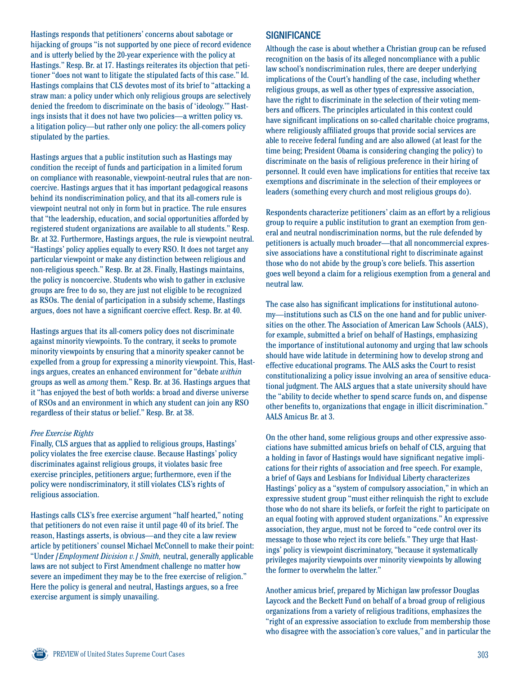Hastings responds that petitioners' concerns about sabotage or hijacking of groups "is not supported by one piece of record evidence and is utterly belied by the 20-year experience with the policy at Hastings." Resp. Br. at 17. Hastings reiterates its objection that petitioner "does not want to litigate the stipulated facts of this case." Id. Hastings complains that CLS devotes most of its brief to "attacking a straw man: a policy under which only religious groups are selectively denied the freedom to discriminate on the basis of 'ideology.'" Hastings insists that it does not have two policies—a written policy vs. a litigation policy—but rather only one policy: the all-comers policy stipulated by the parties.

Hastings argues that a public institution such as Hastings may condition the receipt of funds and participation in a limited forum on compliance with reasonable, viewpoint-neutral rules that are noncoercive. Hastings argues that it has important pedagogical reasons behind its nondiscrimination policy, and that its all-comers rule is viewpoint neutral not only in form but in practice. The rule ensures that "the leadership, education, and social opportunities afforded by registered student organizations are available to all students." Resp. Br. at 32. Furthermore, Hastings argues, the rule is viewpoint neutral. "Hastings' policy applies equally to every RSO. It does not target any particular viewpoint or make any distinction between religious and non-religious speech." Resp. Br. at 28. Finally, Hastings maintains, the policy is noncoercive. Students who wish to gather in exclusive groups are free to do so, they are just not eligible to be recognized as RSOs. The denial of participation in a subsidy scheme, Hastings argues, does not have a significant coercive effect. Resp. Br. at 40.

Hastings argues that its all-comers policy does not discriminate against minority viewpoints. To the contrary, it seeks to promote minority viewpoints by ensuring that a minority speaker cannot be expelled from a group for expressing a minority viewpoint. This, Hastings argues, creates an enhanced environment for "debate *within* groups as well as *among* them." Resp. Br. at 36. Hastings argues that it "has enjoyed the best of both worlds: a broad and diverse universe of RSOs and an environment in which any student can join any RSO regardless of their status or belief." Resp. Br. at 38.

#### *Free Exercise Rights*

Finally, CLS argues that as applied to religious groups, Hastings' policy violates the free exercise clause. Because Hastings' policy discriminates against religious groups, it violates basic free exercise principles, petitioners argue; furthermore, even if the policy were nondiscriminatory, it still violates CLS's rights of religious association.

Hastings calls CLS's free exercise argument "half hearted," noting that petitioners do not even raise it until page 40 of its brief. The reason, Hastings asserts, is obvious—and they cite a law review article by petitioners' counsel Michael McConnell to make their point: "Under *[Employment Division v.] Smith,* neutral, generally applicable laws are not subject to First Amendment challenge no matter how severe an impediment they may be to the free exercise of religion." Here the policy is general and neutral, Hastings argues, so a free exercise argument is simply unavailing.

### **SIGNIFICANCE**

Although the case is about whether a Christian group can be refused recognition on the basis of its alleged noncompliance with a public law school's nondiscrimination rules, there are deeper underlying implications of the Court's handling of the case, including whether religious groups, as well as other types of expressive association, have the right to discriminate in the selection of their voting members and officers. The principles articulated in this context could have significant implications on so-called charitable choice programs, where religiously affiliated groups that provide social services are able to receive federal funding and are also allowed (at least for the time being; President Obama is considering changing the policy) to discriminate on the basis of religious preference in their hiring of personnel. It could even have implications for entities that receive tax exemptions and discriminate in the selection of their employees or leaders (something every church and most religious groups do).

Respondents characterize petitioners' claim as an effort by a religious group to require a public institution to grant an exemption from general and neutral nondiscrimination norms, but the rule defended by petitioners is actually much broader—that all noncommercial expressive associations have a constitutional right to discriminate against those who do not abide by the group's core beliefs. This assertion goes well beyond a claim for a religious exemption from a general and neutral law.

The case also has significant implications for institutional autonomy—institutions such as CLS on the one hand and for public universities on the other. The Association of American Law Schools (AALS), for example, submitted a brief on behalf of Hastings, emphasizing the importance of institutional autonomy and urging that law schools should have wide latitude in determining how to develop strong and effective educational programs. The AALS asks the Court to resist constitutionalizing a policy issue involving an area of sensitive educational judgment. The AALS argues that a state university should have the "ability to decide whether to spend scarce funds on, and dispense other benefits to, organizations that engage in illicit discrimination." AALS Amicus Br. at 3.

On the other hand, some religious groups and other expressive associations have submitted amicus briefs on behalf of CLS, arguing that a holding in favor of Hastings would have significant negative implications for their rights of association and free speech. For example, a brief of Gays and Lesbians for Individual Liberty characterizes Hastings' policy as a "system of compulsory association," in which an expressive student group "must either relinquish the right to exclude those who do not share its beliefs, or forfeit the right to participate on an equal footing with approved student organizations." An expressive association, they argue, must not be forced to "cede control over its message to those who reject its core beliefs." They urge that Hastings' policy is viewpoint discriminatory, "because it systematically privileges majority viewpoints over minority viewpoints by allowing the former to overwhelm the latter."

Another amicus brief, prepared by Michigan law professor Douglas Laycock and the Beckett Fund on behalf of a broad group of religious organizations from a variety of religious traditions, emphasizes the "right of an expressive association to exclude from membership those who disagree with the association's core values," and in particular the

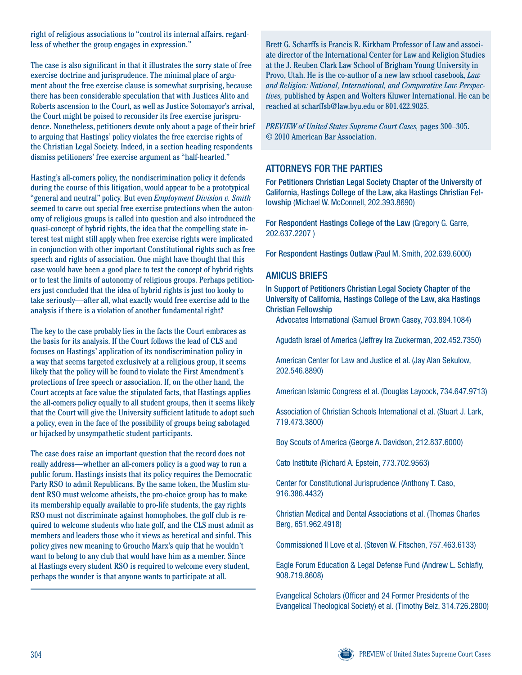right of religious associations to "control its internal affairs, regardless of whether the group engages in expression."

The case is also significant in that it illustrates the sorry state of free exercise doctrine and jurisprudence. The minimal place of argument about the free exercise clause is somewhat surprising, because there has been considerable speculation that with Justices Alito and Roberts ascension to the Court, as well as Justice Sotomayor's arrival, the Court might be poised to reconsider its free exercise jurisprudence. Nonetheless, petitioners devote only about a page of their brief to arguing that Hastings' policy violates the free exercise rights of the Christian Legal Society. Indeed, in a section heading respondents dismiss petitioners' free exercise argument as "half-hearted."

Hasting's all-comers policy, the nondiscrimination policy it defends during the course of this litigation, would appear to be a prototypical "general and neutral" policy. But even *Employment Division v. Smith*  seemed to carve out special free exercise protections when the autonomy of religious groups is called into question and also introduced the quasi-concept of hybrid rights, the idea that the compelling state interest test might still apply when free exercise rights were implicated in conjunction with other important Constitutional rights such as free speech and rights of association. One might have thought that this case would have been a good place to test the concept of hybrid rights or to test the limits of autonomy of religious groups. Perhaps petitioners just concluded that the idea of hybrid rights is just too kooky to take seriously—after all, what exactly would free exercise add to the analysis if there is a violation of another fundamental right?

The key to the case probably lies in the facts the Court embraces as the basis for its analysis. If the Court follows the lead of CLS and focuses on Hastings' application of its nondiscrimination policy in a way that seems targeted exclusively at a religious group, it seems likely that the policy will be found to violate the First Amendment's protections of free speech or association. If, on the other hand, the Court accepts at face value the stipulated facts, that Hastings applies the all-comers policy equally to all student groups, then it seems likely that the Court will give the University sufficient latitude to adopt such a policy, even in the face of the possibility of groups being sabotaged or hijacked by unsympathetic student participants.

The case does raise an important question that the record does not really address—whether an all-comers policy is a good way to run a public forum. Hastings insists that its policy requires the Democratic Party RSO to admit Republicans. By the same token, the Muslim student RSO must welcome atheists, the pro-choice group has to make its membership equally available to pro-life students, the gay rights RSO must not discriminate against homophobes, the golf club is required to welcome students who hate golf, and the CLS must admit as members and leaders those who it views as heretical and sinful. This policy gives new meaning to Groucho Marx's quip that he wouldn't want to belong to any club that would have him as a member. Since at Hastings every student RSO is required to welcome every student, perhaps the wonder is that anyone wants to participate at all.

Brett G. Scharffs is Francis R. Kirkham Professor of Law and associate director of the International Center for Law and Religion Studies at the J. Reuben Clark Law School of Brigham Young University in Provo, Utah. He is the co-author of a new law school casebook, *Law and Religion: National, International, and Comparative Law Perspectives,* published by Aspen and Wolters Kluwer International. He can be reached at scharffsb@law.byu.edu or 801.422.9025.

*PREVIEW of United States Supreme Court Cases,* pages 300–305. © 2010 American Bar Association.

## Attorneys For the Parties

For Petitioners Christian Legal Society Chapter of the University of California, Hastings College of the Law, aka Hastings Christian Fellowship (Michael W. McConnell, 202.393.8690)

For Respondent Hastings College of the Law (Gregory G. Garre, 202.637.2207 )

For Respondent Hastings Outlaw (Paul M. Smith, 202.639.6000)

## Amicus Briefs

In Support of Petitioners Christian Legal Society Chapter of the University of California, Hastings College of the Law, aka Hastings Christian Fellowship

Advocates International (Samuel Brown Casey, 703.894.1084)

Agudath Israel of America (Jeffrey Ira Zuckerman, 202.452.7350)

American Center for Law and Justice et al. (Jay Alan Sekulow, 202.546.8890)

American Islamic Congress et al. (Douglas Laycock, 734.647.9713)

Association of Christian Schools International et al. (Stuart J. Lark, 719.473.3800)

Boy Scouts of America (George A. Davidson, 212.837.6000)

Cato Institute (Richard A. Epstein, 773.702.9563)

Center for Constitutional Jurisprudence (Anthony T. Caso, 916.386.4432)

Christian Medical and Dental Associations et al. (Thomas Charles Berg, 651.962.4918)

Commissioned II Love et al. (Steven W. Fitschen, 757.463.6133)

Eagle Forum Education & Legal Defense Fund (Andrew L. Schlafly, 908.719.8608)

Evangelical Scholars (Officer and 24 Former Presidents of the Evangelical Theological Society) et al. (Timothy Belz, 314.726.2800)